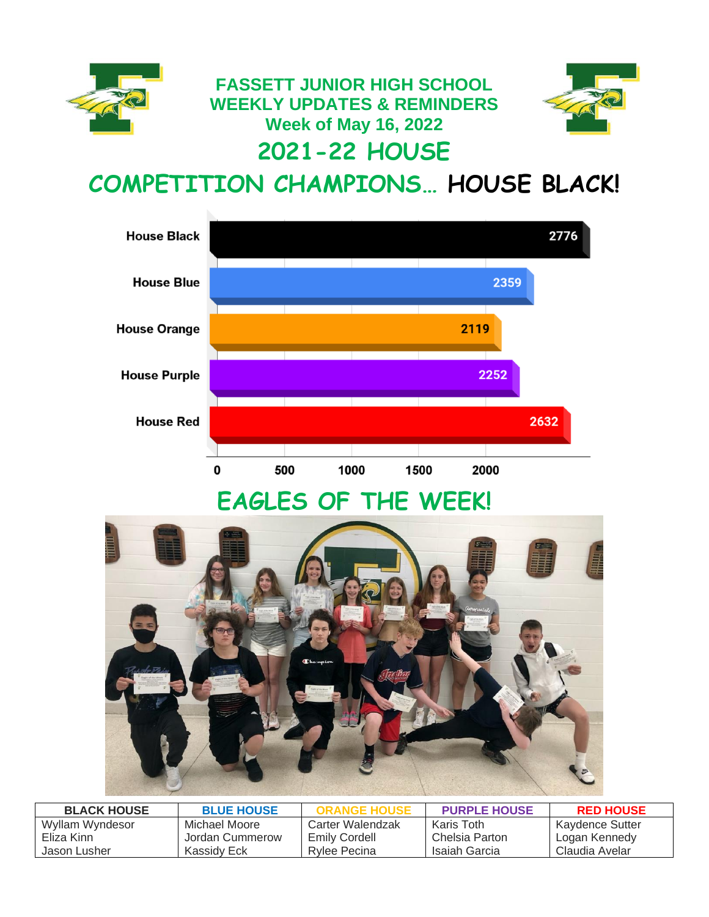

**FASSETT JUNIOR HIGH SCHOOL WEEKLY UPDATES & REMINDERS Week of May 16, 2022 2021-22 HOUSE** 



**COMPETITION CHAMPIONS… HOUSE BLACK!**



# **EAGLES OF THE WEEK!**



| <b>BLACK HOUSE</b> | <b>BLUE HOUSE</b> | <b>ORANGE HOUSE</b> | <b>PURPLE HOUSE</b> | <b>RED HOUSE</b> |
|--------------------|-------------------|---------------------|---------------------|------------------|
| Wyllam Wyndesor    | Michael Moore     | Carter Walendzak    | Karis Toth          | Kaydence Sutter  |
| Eliza Kinn         | Jordan Cummerow   | Emily Cordell       | Chelsia Parton      | Logan Kennedy    |
| Jason Lusher       | Kassidy Eck       | Rylee Pecina        | Isaiah Garcia       | Claudia Avelar   |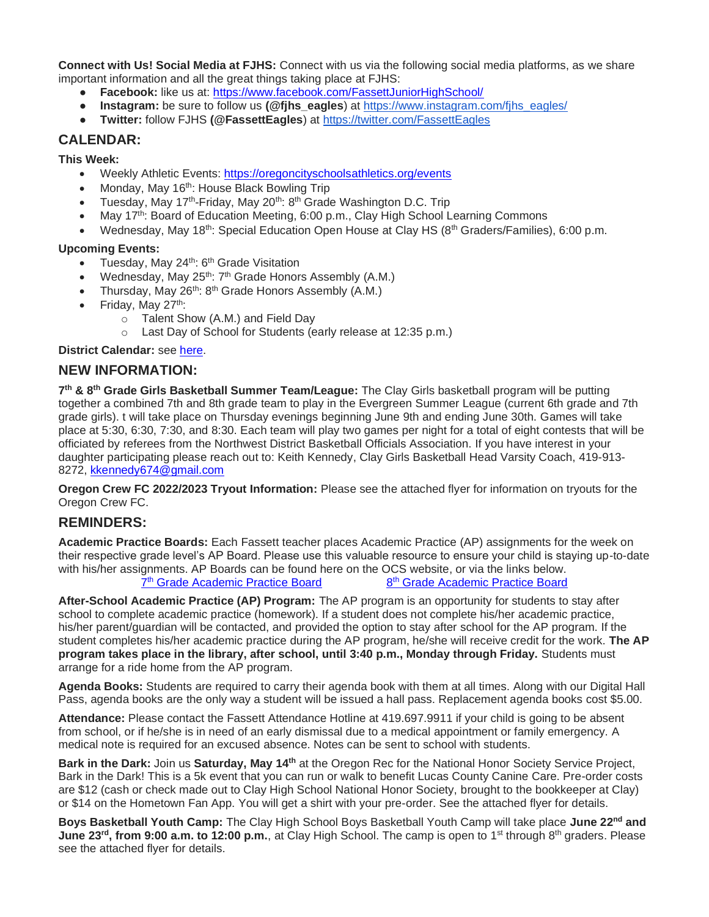**Connect with Us! Social Media at FJHS:** Connect with us via the following social media platforms, as we share important information and all the great things taking place at FJHS:

- **Facebook:** like us at:<https://www.facebook.com/FassettJuniorHighSchool/>
- **Instagram:** be sure to follow us **(@fihs\_eagles)** at https://www.instagram.com/fihs\_eagles/
- **Twitter:** follow FJHS **(@FassettEagles**) at <https://twitter.com/FassettEagles>

## **CALENDAR:**

**This Week:**

- Weekly Athletic Events:<https://oregoncityschoolsathletics.org/events>
- Monday, May 16<sup>th</sup>: House Black Bowling Trip
- Tuesday, May 17<sup>th</sup>-Friday, May 20<sup>th</sup>: 8<sup>th</sup> Grade Washington D.C. Trip
- May 17<sup>th</sup>: Board of Education Meeting, 6:00 p.m., Clay High School Learning Commons
- Wednesday, May 18<sup>th</sup>: Special Education Open House at Clay HS (8<sup>th</sup> Graders/Families), 6:00 p.m.

#### **Upcoming Events:**

- Tuesday, May 24<sup>th</sup>: 6<sup>th</sup> Grade Visitation
- Wednesday, May  $25^{th}$ :  $7^{th}$  Grade Honors Assembly (A.M.)
- Thursday, May 26<sup>th</sup>: 8<sup>th</sup> Grade Honors Assembly (A.M.)
- Friday, May 27<sup>th</sup>:
	- o Talent Show (A.M.) and Field Day
	- o Last Day of School for Students (early release at 12:35 p.m.)

#### **District Calendar:** see [here.](https://www.oregoncityschools.org/Downloads/2021-22SchoolCalendar.pdf)

## **NEW INFORMATION:**

**7 th & 8th Grade Girls Basketball Summer Team/League:** The Clay Girls basketball program will be putting together a combined 7th and 8th grade team to play in the Evergreen Summer League (current 6th grade and 7th grade girls). t will take place on Thursday evenings beginning June 9th and ending June 30th. Games will take place at 5:30, 6:30, 7:30, and 8:30. Each team will play two games per night for a total of eight contests that will be officiated by referees from the Northwest District Basketball Officials Association. If you have interest in your daughter participating please reach out to: Keith Kennedy, Clay Girls Basketball Head Varsity Coach, 419-913- 8272, [kkennedy674@gmail.com](mailto:kkennedy674@gmail.com)

**Oregon Crew FC 2022/2023 Tryout Information:** Please see the attached flyer for information on tryouts for the Oregon Crew FC.

## **REMINDERS:**

**Academic Practice Boards:** Each Fassett teacher places Academic Practice (AP) assignments for the week on their respective grade level's AP Board. Please use this valuable resource to ensure your child is staying up-to-date with his/her assignments. AP Boards can be found here on the OCS website, or via the links below. 7<sup>th</sup> [Grade Academic Practice Board](https://docs.google.com/spreadsheets/d/1FOTdCtbvSG3Psoe5yOROgTadfZvWQSXq4hyd0iFu4Xg/edit?usp=sharing) 8 8<sup>th</sup> [Grade Academic Practice Board](https://docs.google.com/spreadsheets/d/1S-ZrtckT6y6o2OPWRcEGHpy-YtjykRI85Eg_KU8HFqk/edit?usp=sharing)

**After-School Academic Practice (AP) Program:** The AP program is an opportunity for students to stay after school to complete academic practice (homework). If a student does not complete his/her academic practice, his/her parent/guardian will be contacted, and provided the option to stay after school for the AP program. If the student completes his/her academic practice during the AP program, he/she will receive credit for the work. **The AP program takes place in the library, after school, until 3:40 p.m., Monday through Friday.** Students must arrange for a ride home from the AP program.

**Agenda Books:** Students are required to carry their agenda book with them at all times. Along with our Digital Hall Pass, agenda books are the only way a student will be issued a hall pass. Replacement agenda books cost \$5.00.

**Attendance:** Please contact the Fassett Attendance Hotline at 419.697.9911 if your child is going to be absent from school, or if he/she is in need of an early dismissal due to a medical appointment or family emergency. A medical note is required for an excused absence. Notes can be sent to school with students.

**Bark in the Dark:** Join us **Saturday, May 14th** at the Oregon Rec for the National Honor Society Service Project, Bark in the Dark! This is a 5k event that you can run or walk to benefit Lucas County Canine Care. Pre-order costs are \$12 (cash or check made out to Clay High School National Honor Society, brought to the bookkeeper at Clay) or \$14 on the Hometown Fan App. You will get a shirt with your pre-order. See the attached flyer for details.

**Boys Basketball Youth Camp:** The Clay High School Boys Basketball Youth Camp will take place **June 22nd and June 23rd, from 9:00 a.m. to 12:00 p.m.**, at Clay High School. The camp is open to 1st through 8th graders. Please see the attached flyer for details.